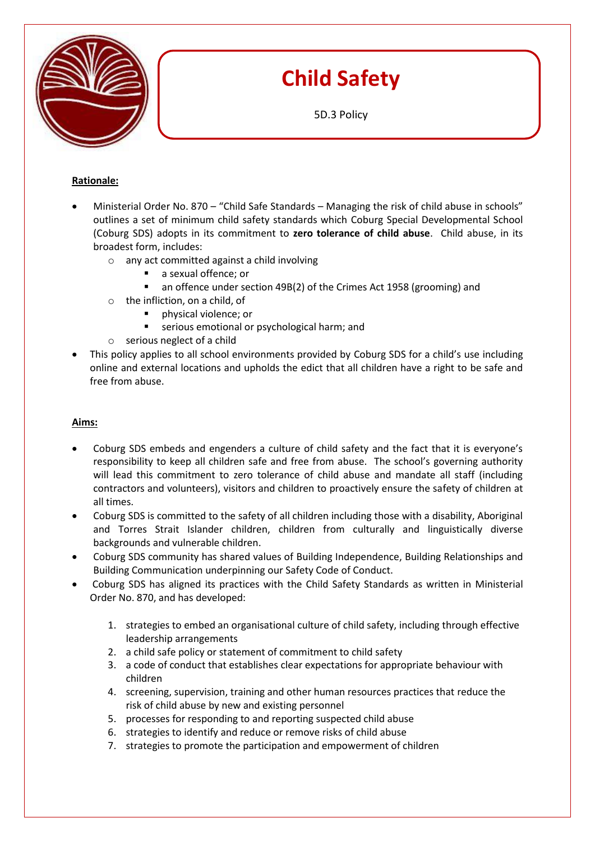

# **Child Safety**

5D.3 Policy

## **Rationale:**

- Ministerial Order No. 870 "Child Safe Standards Managing the risk of child abuse in schools" outlines a set of minimum child safety standards which Coburg Special Developmental School (Coburg SDS) adopts in its commitment to **zero tolerance of child abuse**. Child abuse, in its broadest form, includes:
	- o any act committed against a child involving
		- a sexual offence; or
			- an offence under section 49B(2) of the Crimes Act 1958 (grooming) and
	- o the infliction, on a child, of
		- physical violence; or
		- **EXECTE:** serious emotional or psychological harm; and
	- o serious neglect of a child
- This policy applies to all school environments provided by Coburg SDS for a child's use including online and external locations and upholds the edict that all children have a right to be safe and free from abuse.

## **Aims:**

- Coburg SDS embeds and engenders a culture of child safety and the fact that it is everyone's responsibility to keep all children safe and free from abuse. The school's governing authority will lead this commitment to zero tolerance of child abuse and mandate all staff (including contractors and volunteers), visitors and children to proactively ensure the safety of children at all times.
- Coburg SDS is committed to the safety of all children including those with a disability, Aboriginal and Torres Strait Islander children, children from culturally and linguistically diverse backgrounds and vulnerable children.
- Coburg SDS community has shared values of Building Independence, Building Relationships and Building Communication underpinning our Safety Code of Conduct.
- Coburg SDS has aligned its practices with the Child Safety Standards as written in Ministerial Order No. 870, and has developed:
	- 1. [strategies to embed an organisational culture of child safety, including through effective](http://www.vrqa.vic.gov.au/childsafe/Pages/standards.html#standard-1)  [leadership arrangements](http://www.vrqa.vic.gov.au/childsafe/Pages/standards.html#standard-1)
	- 2. [a child safe policy or statement of commitment to child safety](http://www.vrqa.vic.gov.au/childsafe/Pages/standards.html#standard-2)
	- 3. [a code of conduct that establishes clear expectations for appropriate behaviour with](http://www.vrqa.vic.gov.au/childsafe/Pages/standards.html#standard-3)  [children](http://www.vrqa.vic.gov.au/childsafe/Pages/standards.html#standard-3)
	- 4. [screening, supervision, training and other human resources practices that](http://www.vrqa.vic.gov.au/childsafe/Pages/standards.html#standard-4) reduce the [risk of child abuse by new and existing personnel](http://www.vrqa.vic.gov.au/childsafe/Pages/standards.html#standard-4)
	- 5. [processes for responding to and reporting suspected child abuse](http://www.vrqa.vic.gov.au/childsafe/Pages/standards.html#standard-5)
	- 6. [strategies to identify and reduce or remove risks of child abuse](http://www.vrqa.vic.gov.au/childsafe/Pages/standards.html#standard-6)
	- 7. [strategies to promote the participation and empowerment of children](http://www.vrqa.vic.gov.au/childsafe/Pages/standards.html#standard-7)